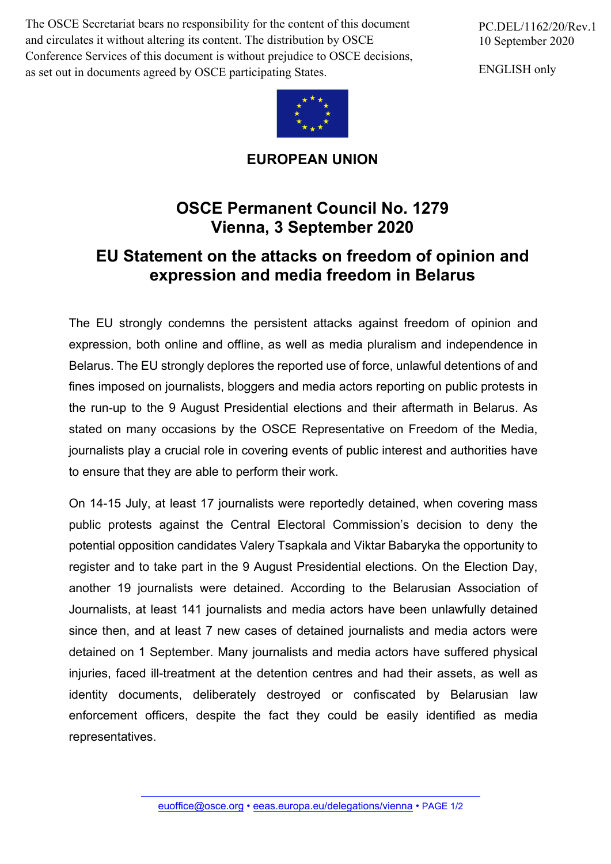The OSCE Secretariat bears no responsibility for the content of this document and circulates it without altering its content. The distribution by OSCE Conference Services of this document is without prejudice to OSCE decisions, as set out in documents agreed by OSCE participating States.



**EUROPEAN UNION**

## **OSCE Permanent Council No. 1279 Vienna, 3 September 2020**

## **EU Statement on the attacks on freedom of opinion and expression and media freedom in Belarus**

The EU strongly condemns the persistent attacks against freedom of opinion and expression, both online and offline, as well as media pluralism and independence in Belarus. The EU strongly deplores the reported use of force, unlawful detentions of and fines imposed on journalists, bloggers and media actors reporting on public protests in the run-up to the 9 August Presidential elections and their aftermath in Belarus. As stated on many occasions by the OSCE Representative on Freedom of the Media, journalists play a crucial role in covering events of public interest and authorities have to ensure that they are able to perform their work.

On 14-15 July, at least 17 journalists were reportedly detained, when covering mass public protests against the Central Electoral Commission's decision to deny the potential opposition candidates Valery Tsapkala and Viktar Babaryka the opportunity to register and to take part in the 9 August Presidential elections. On the Election Day, another 19 journalists were detained. According to the Belarusian Association of Journalists, at least 141 journalists and media actors have been unlawfully detained since then, and at least 7 new cases of detained journalists and media actors were detained on 1 September. Many journalists and media actors have suffered physical injuries, faced ill-treatment at the detention centres and had their assets, as well as identity documents, deliberately destroyed or confiscated by Belarusian law enforcement officers, despite the fact they could be easily identified as media representatives.

PC.DEL/1162/20/Rev.1 10 September 2020

ENGLISH only